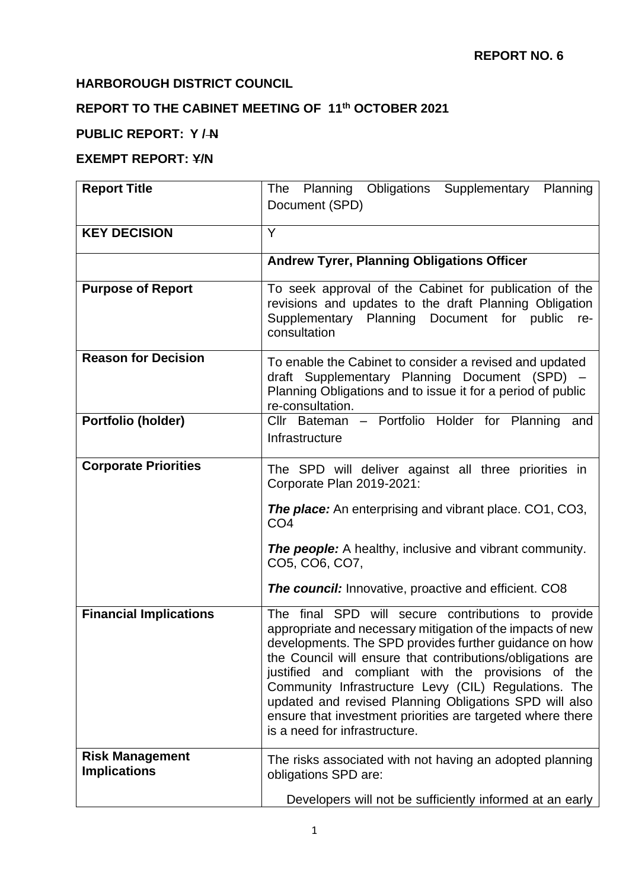## **HARBOROUGH DISTRICT COUNCIL**

# **REPORT TO THE CABINET MEETING OF 11th OCTOBER 2021**

## **PUBLIC REPORT: Y / N**

### **EXEMPT REPORT: Y/N**

| <b>Report Title</b>                           | The Planning Obligations Supplementary<br>Planning                                                                                                                                                                                                                                                                                                                                                                                                                                                              |
|-----------------------------------------------|-----------------------------------------------------------------------------------------------------------------------------------------------------------------------------------------------------------------------------------------------------------------------------------------------------------------------------------------------------------------------------------------------------------------------------------------------------------------------------------------------------------------|
|                                               | Document (SPD)                                                                                                                                                                                                                                                                                                                                                                                                                                                                                                  |
|                                               |                                                                                                                                                                                                                                                                                                                                                                                                                                                                                                                 |
| <b>KEY DECISION</b>                           | Y                                                                                                                                                                                                                                                                                                                                                                                                                                                                                                               |
|                                               | <b>Andrew Tyrer, Planning Obligations Officer</b>                                                                                                                                                                                                                                                                                                                                                                                                                                                               |
| <b>Purpose of Report</b>                      | To seek approval of the Cabinet for publication of the<br>revisions and updates to the draft Planning Obligation<br>Supplementary Planning Document for public<br>re-<br>consultation                                                                                                                                                                                                                                                                                                                           |
| <b>Reason for Decision</b>                    | To enable the Cabinet to consider a revised and updated<br>draft Supplementary Planning Document (SPD) -<br>Planning Obligations and to issue it for a period of public<br>re-consultation.                                                                                                                                                                                                                                                                                                                     |
| Portfolio (holder)                            | Cllr Bateman - Portfolio Holder for Planning<br>and<br>Infrastructure                                                                                                                                                                                                                                                                                                                                                                                                                                           |
| <b>Corporate Priorities</b>                   | The SPD will deliver against all three priorities in<br>Corporate Plan 2019-2021:                                                                                                                                                                                                                                                                                                                                                                                                                               |
|                                               | <b>The place:</b> An enterprising and vibrant place. CO1, CO3,<br>CO <sub>4</sub>                                                                                                                                                                                                                                                                                                                                                                                                                               |
|                                               | <b>The people:</b> A healthy, inclusive and vibrant community.<br>CO5, CO6, CO7,                                                                                                                                                                                                                                                                                                                                                                                                                                |
|                                               | <b>The council:</b> Innovative, proactive and efficient. CO8                                                                                                                                                                                                                                                                                                                                                                                                                                                    |
| <b>Financial Implications</b>                 | The final SPD will secure contributions to provide<br>appropriate and necessary mitigation of the impacts of new<br>developments. The SPD provides further guidance on how<br>the Council will ensure that contributions/obligations are<br>justified and compliant with the provisions of the<br>Community Infrastructure Levy (CIL) Regulations. The<br>updated and revised Planning Obligations SPD will also<br>ensure that investment priorities are targeted where there<br>is a need for infrastructure. |
| <b>Risk Management</b><br><b>Implications</b> | The risks associated with not having an adopted planning<br>obligations SPD are:                                                                                                                                                                                                                                                                                                                                                                                                                                |
|                                               | Developers will not be sufficiently informed at an early                                                                                                                                                                                                                                                                                                                                                                                                                                                        |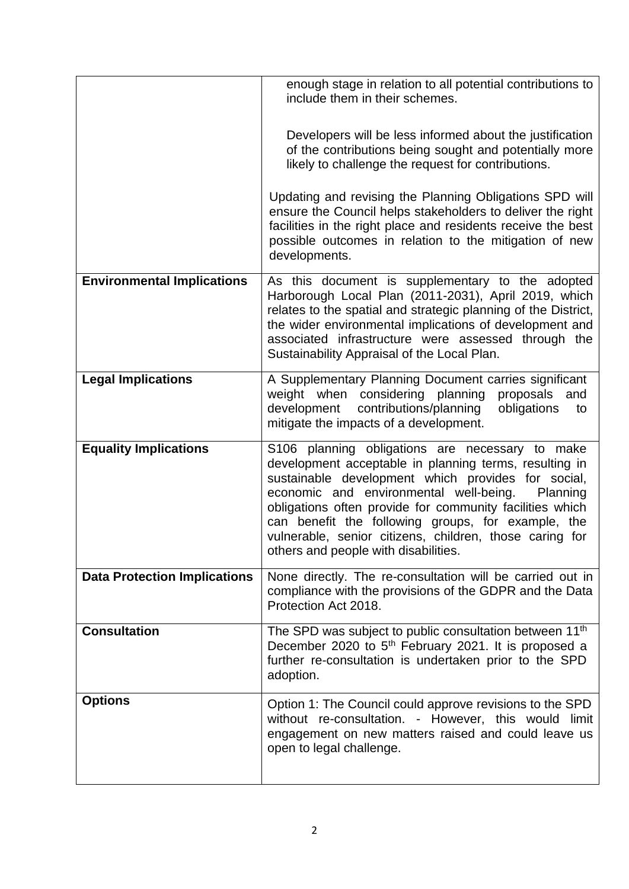|                                     | enough stage in relation to all potential contributions to<br>include them in their schemes.                                                                                                                                                                                                                                                                                                                                               |
|-------------------------------------|--------------------------------------------------------------------------------------------------------------------------------------------------------------------------------------------------------------------------------------------------------------------------------------------------------------------------------------------------------------------------------------------------------------------------------------------|
|                                     | Developers will be less informed about the justification<br>of the contributions being sought and potentially more<br>likely to challenge the request for contributions.                                                                                                                                                                                                                                                                   |
|                                     | Updating and revising the Planning Obligations SPD will<br>ensure the Council helps stakeholders to deliver the right<br>facilities in the right place and residents receive the best<br>possible outcomes in relation to the mitigation of new<br>developments.                                                                                                                                                                           |
| <b>Environmental Implications</b>   | As this document is supplementary to the adopted<br>Harborough Local Plan (2011-2031), April 2019, which<br>relates to the spatial and strategic planning of the District,<br>the wider environmental implications of development and<br>associated infrastructure were assessed through the<br>Sustainability Appraisal of the Local Plan.                                                                                                |
| <b>Legal Implications</b>           | A Supplementary Planning Document carries significant<br>weight when considering planning<br>proposals<br>and<br>contributions/planning<br>development<br>obligations<br>to<br>mitigate the impacts of a development.                                                                                                                                                                                                                      |
| <b>Equality Implications</b>        | S106 planning obligations are necessary to make<br>development acceptable in planning terms, resulting in<br>sustainable development which provides for social,<br>economic and environmental well-being.<br>Planning<br>obligations often provide for community facilities which<br>can benefit the following groups, for example, the<br>vulnerable, senior citizens, children, those caring for<br>others and people with disabilities. |
| <b>Data Protection Implications</b> | None directly. The re-consultation will be carried out in<br>compliance with the provisions of the GDPR and the Data<br>Protection Act 2018.                                                                                                                                                                                                                                                                                               |
| <b>Consultation</b>                 | The SPD was subject to public consultation between 11 <sup>th</sup><br>December 2020 to 5 <sup>th</sup> February 2021. It is proposed a<br>further re-consultation is undertaken prior to the SPD<br>adoption.                                                                                                                                                                                                                             |
| <b>Options</b>                      | Option 1: The Council could approve revisions to the SPD<br>without re-consultation. - However, this would limit<br>engagement on new matters raised and could leave us<br>open to legal challenge.                                                                                                                                                                                                                                        |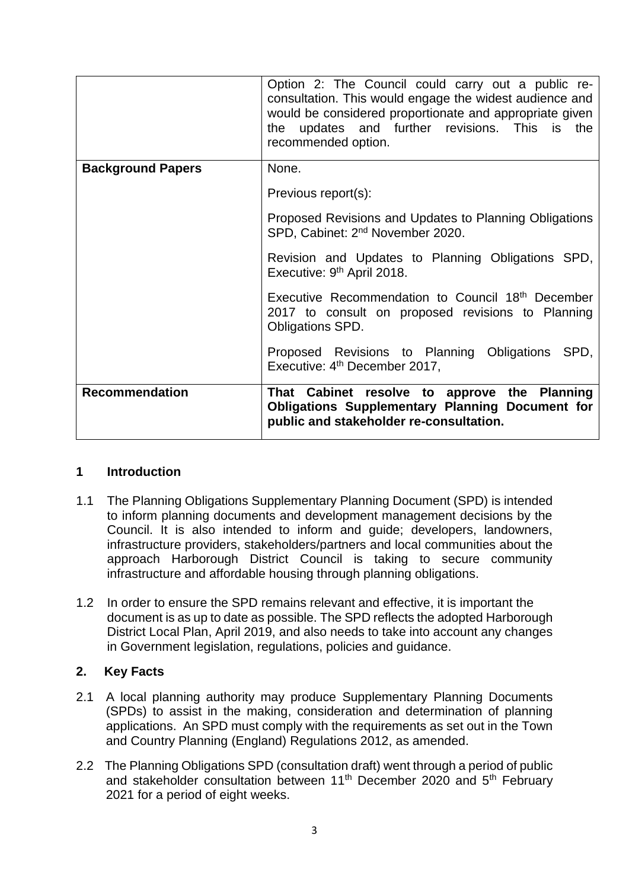|                          | Option 2: The Council could carry out a public re-<br>consultation. This would engage the widest audience and<br>would be considered proportionate and appropriate given<br>the updates and further revisions. This is the<br>recommended option. |
|--------------------------|---------------------------------------------------------------------------------------------------------------------------------------------------------------------------------------------------------------------------------------------------|
| <b>Background Papers</b> | None.                                                                                                                                                                                                                                             |
|                          | Previous report(s):                                                                                                                                                                                                                               |
|                          | Proposed Revisions and Updates to Planning Obligations<br>SPD, Cabinet: 2 <sup>nd</sup> November 2020.                                                                                                                                            |
|                          | Revision and Updates to Planning Obligations SPD,<br>Executive: 9 <sup>th</sup> April 2018.                                                                                                                                                       |
|                          | Executive Recommendation to Council 18th December<br>2017 to consult on proposed revisions to Planning<br>Obligations SPD.                                                                                                                        |
|                          | Proposed Revisions to Planning Obligations SPD,<br>Executive: 4 <sup>th</sup> December 2017,                                                                                                                                                      |
| <b>Recommendation</b>    | That Cabinet resolve to approve the Planning<br><b>Obligations Supplementary Planning Document for</b><br>public and stakeholder re-consultation.                                                                                                 |

### **1 Introduction**

- 1.1 The Planning Obligations Supplementary Planning Document (SPD) is intended to inform planning documents and development management decisions by the Council. It is also intended to inform and guide; developers, landowners, infrastructure providers, stakeholders/partners and local communities about the approach Harborough District Council is taking to secure community infrastructure and affordable housing through planning obligations.
- 1.2 In order to ensure the SPD remains relevant and effective, it is important the document is as up to date as possible. The SPD reflects the adopted Harborough District Local Plan, April 2019, and also needs to take into account any changes in Government legislation, regulations, policies and guidance.

### **2. Key Facts**

- 2.1 A local planning authority may produce Supplementary Planning Documents (SPDs) to assist in the making, consideration and determination of planning applications. An SPD must comply with the requirements as set out in the Town and Country Planning (England) Regulations 2012, as amended.
- 2.2 The Planning Obligations SPD (consultation draft) went through a period of public and stakeholder consultation between 11<sup>th</sup> December 2020 and 5<sup>th</sup> February 2021 for a period of eight weeks.